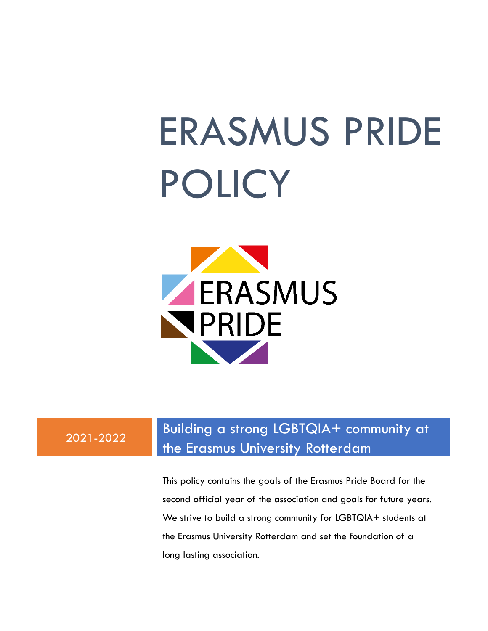# ERASMUS PRIDE POLICY



### 2021-2022

### Building a strong LGBTQIA+ community at the Erasmus University Rotterdam

This policy contains the goals of the Erasmus Pride Board for the second official year of the association and goals for future years. We strive to build a strong community for LGBTQIA+ students at the Erasmus University Rotterdam and set the foundation of a long lasting association.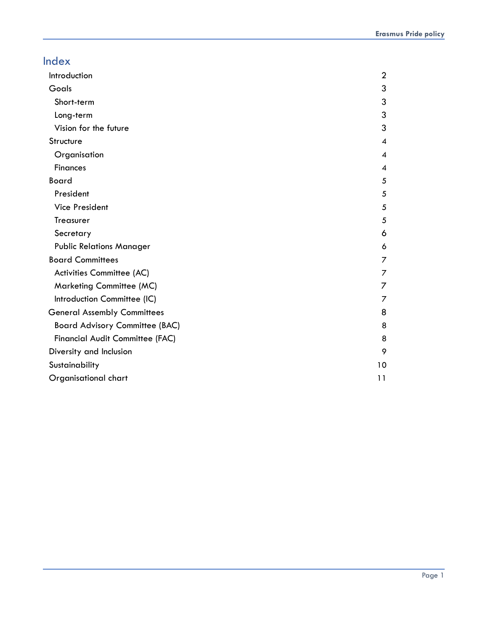| Index                                 |                |
|---------------------------------------|----------------|
| Introduction                          | $\overline{2}$ |
| Goals                                 | 3              |
| Short-term                            | 3              |
| Long-term                             | 3              |
| Vision for the future                 | 3              |
| Structure                             | 4              |
| Organisation                          | 4              |
| <b>Finances</b>                       | 4              |
| Board                                 | 5              |
| President                             | 5              |
| <b>Vice President</b>                 | 5              |
| Treasurer                             | 5              |
| Secretary                             | 6              |
| <b>Public Relations Manager</b>       | 6              |
| <b>Board Committees</b>               | 7              |
| Activities Committee (AC)             | 7              |
| <b>Marketing Committee (MC)</b>       | 7              |
| Introduction Committee (IC)           | 7              |
| <b>General Assembly Committees</b>    | 8              |
| <b>Board Advisory Committee (BAC)</b> | 8              |
| Financial Audit Committee (FAC)       | 8              |
| Diversity and Inclusion               | 9              |
| Sustainability                        | 10             |
| Organisational chart                  | 11             |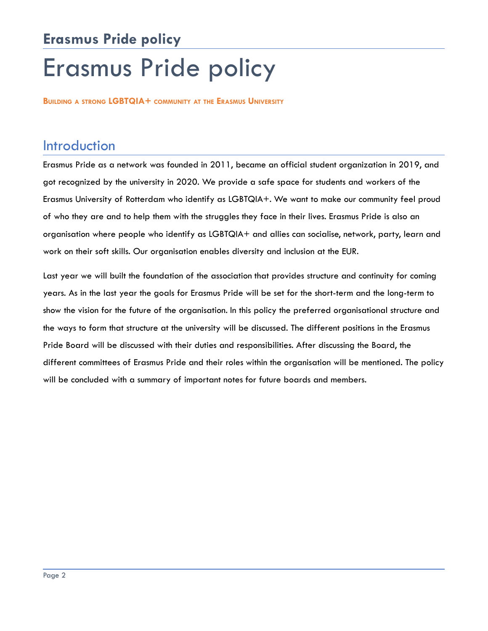## **Erasmus Pride policy** Erasmus Pride policy

**BUILDING A STRONG LGBTQIA+ COMMUNITY AT THE ERASMUS UNIVERSITY**

### <span id="page-2-0"></span>Introduction

Erasmus Pride as a network was founded in 2011, became an official student organization in 2019, and got recognized by the university in 2020. We provide a safe space for students and workers of the Erasmus University of Rotterdam who identify as LGBTQIA+. We want to make our community feel proud of who they are and to help them with the struggles they face in their lives. Erasmus Pride is also an organisation where people who identify as LGBTQIA+ and allies can socialise, network, party, learn and work on their soft skills. Our organisation enables diversity and inclusion at the EUR.

Last year we will built the foundation of the association that provides structure and continuity for coming years. As in the last year the goals for Erasmus Pride will be set for the short-term and the long-term to show the vision for the future of the organisation. In this policy the preferred organisational structure and the ways to form that structure at the university will be discussed. The different positions in the Erasmus Pride Board will be discussed with their duties and responsibilities. After discussing the Board, the different committees of Erasmus Pride and their roles within the organisation will be mentioned. The policy will be concluded with a summary of important notes for future boards and members.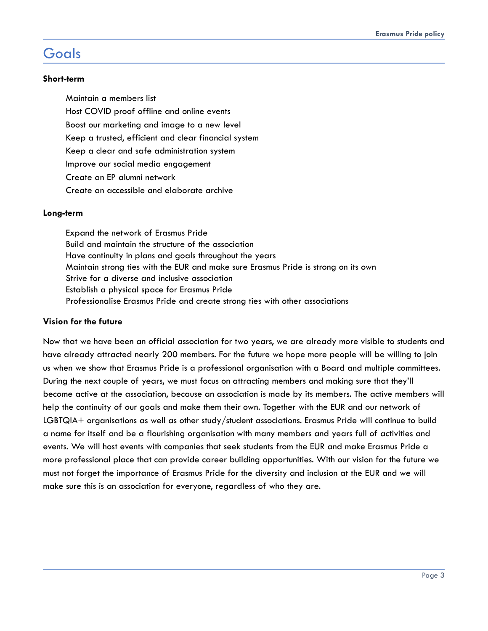### <span id="page-3-0"></span>**Goals**

#### <span id="page-3-1"></span>**Short-term**

Maintain a members list Host COVID proof offline and online events Boost our marketing and image to a new level Keep a trusted, efficient and clear financial system Keep a clear and safe administration system Improve our social media engagement Create an EP alumni network Create an accessible and elaborate archive

#### <span id="page-3-2"></span>**Long-term**

Expand the network of Erasmus Pride Build and maintain the structure of the association Have continuity in plans and goals throughout the years Maintain strong ties with the EUR and make sure Erasmus Pride is strong on its own Strive for a diverse and inclusive association Establish a physical space for Erasmus Pride Professionalise Erasmus Pride and create strong ties with other associations

#### <span id="page-3-3"></span>**Vision for the future**

Now that we have been an official association for two years, we are already more visible to students and have already attracted nearly 200 members. For the future we hope more people will be willing to join us when we show that Erasmus Pride is a professional organisation with a Board and multiple committees. During the next couple of years, we must focus on attracting members and making sure that they'll become active at the association, because an association is made by its members. The active members will help the continuity of our goals and make them their own. Together with the EUR and our network of LGBTQIA+ organisations as well as other study/student associations. Erasmus Pride will continue to build a name for itself and be a flourishing organisation with many members and years full of activities and events. We will host events with companies that seek students from the EUR and make Erasmus Pride a more professional place that can provide career building opportunities. With our vision for the future we must not forget the importance of Erasmus Pride for the diversity and inclusion at the EUR and we will make sure this is an association for everyone, regardless of who they are.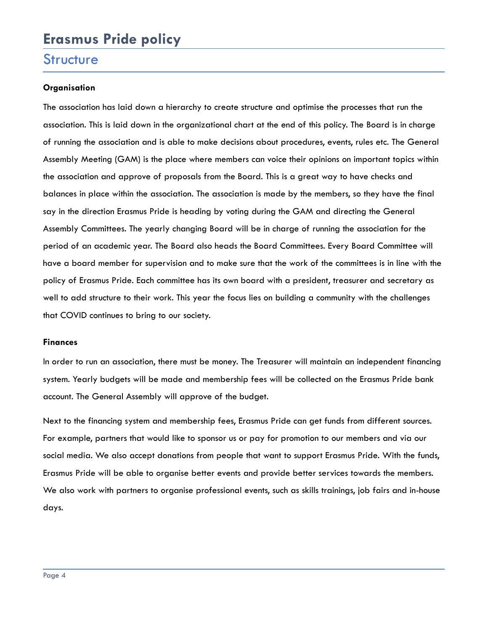### **Erasmus Pride policy**

### <span id="page-4-0"></span>**Structure**

### <span id="page-4-1"></span>**Organisation**

The association has laid down a hierarchy to create structure and optimise the processes that run the association. This is laid down in the organizational chart at the end of this policy. The Board is in charge of running the association and is able to make decisions about procedures, events, rules etc. The General Assembly Meeting (GAM) is the place where members can voice their opinions on important topics within the association and approve of proposals from the Board. This is a great way to have checks and balances in place within the association. The association is made by the members, so they have the final say in the direction Erasmus Pride is heading by voting during the GAM and directing the General Assembly Committees. The yearly changing Board will be in charge of running the association for the period of an academic year. The Board also heads the Board Committees. Every Board Committee will have a board member for supervision and to make sure that the work of the committees is in line with the policy of Erasmus Pride. Each committee has its own board with a president, treasurer and secretary as well to add structure to their work. This year the focus lies on building a community with the challenges that COVID continues to bring to our society.

#### <span id="page-4-2"></span>**Finances**

In order to run an association, there must be money. The Treasurer will maintain an independent financing system. Yearly budgets will be made and membership fees will be collected on the Erasmus Pride bank account. The General Assembly will approve of the budget.

Next to the financing system and membership fees, Erasmus Pride can get funds from different sources. For example, partners that would like to sponsor us or pay for promotion to our members and via our social media. We also accept donations from people that want to support Erasmus Pride. With the funds, Erasmus Pride will be able to organise better events and provide better services towards the members. We also work with partners to organise professional events, such as skills trainings, job fairs and in-house days.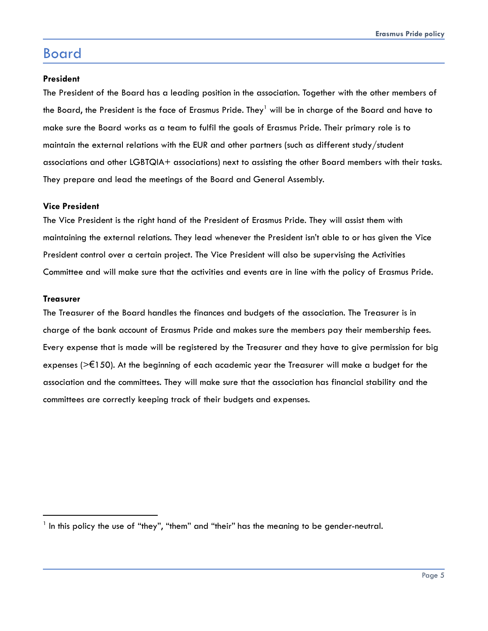### <span id="page-5-0"></span>Board

#### <span id="page-5-1"></span>**President**

The President of the Board has a leading position in the association. Together with the other members of the Board, the President is the face of Erasmus Pride. They<sup>1</sup> will be in charge of the Board and have to make sure the Board works as a team to fulfil the goals of Erasmus Pride. Their primary role is to maintain the external relations with the EUR and other partners (such as different study/student associations and other LGBTQIA+ associations) next to assisting the other Board members with their tasks. They prepare and lead the meetings of the Board and General Assembly.

#### <span id="page-5-2"></span>**Vice President**

The Vice President is the right hand of the President of Erasmus Pride. They will assist them with maintaining the external relations. They lead whenever the President isn't able to or has given the Vice President control over a certain project. The Vice President will also be supervising the Activities Committee and will make sure that the activities and events are in line with the policy of Erasmus Pride.

#### <span id="page-5-3"></span>**Treasurer**

The Treasurer of the Board handles the finances and budgets of the association. The Treasurer is in charge of the bank account of Erasmus Pride and makes sure the members pay their membership fees. Every expense that is made will be registered by the Treasurer and they have to give permission for big expenses ( $\geq 150$ ). At the beginning of each academic year the Treasurer will make a budget for the association and the committees. They will make sure that the association has financial stability and the committees are correctly keeping track of their budgets and expenses.

<span id="page-5-4"></span><sup>1</sup> In this policy the use of "they", "them" and "their" has the meaning to be gender-neutral.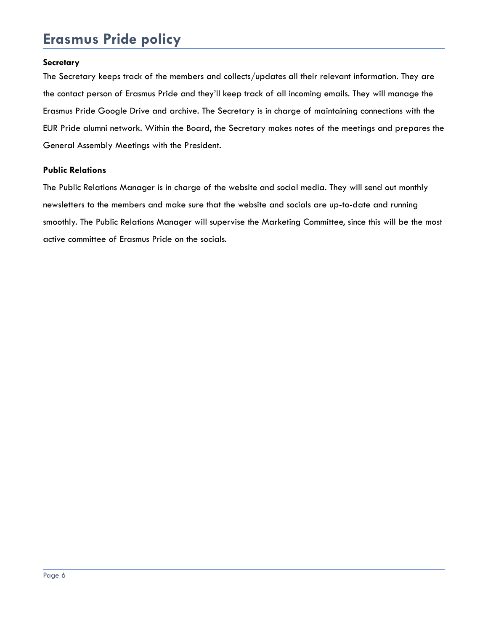### **Erasmus Pride policy**

#### **Secretary**

The Secretary keeps track of the members and collects/updates all their relevant information. They are the contact person of Erasmus Pride and they'll keep track of all incoming emails. They will manage the Erasmus Pride Google Drive and archive. The Secretary is in charge of maintaining connections with the EUR Pride alumni network. Within the Board, the Secretary makes notes of the meetings and prepares the General Assembly Meetings with the President.

#### **Public Relations**

The Public Relations Manager is in charge of the website and social media. They will send out monthly newsletters to the members and make sure that the website and socials are up-to-date and running smoothly. The Public Relations Manager will supervise the Marketing Committee, since this will be the most active committee of Erasmus Pride on the socials.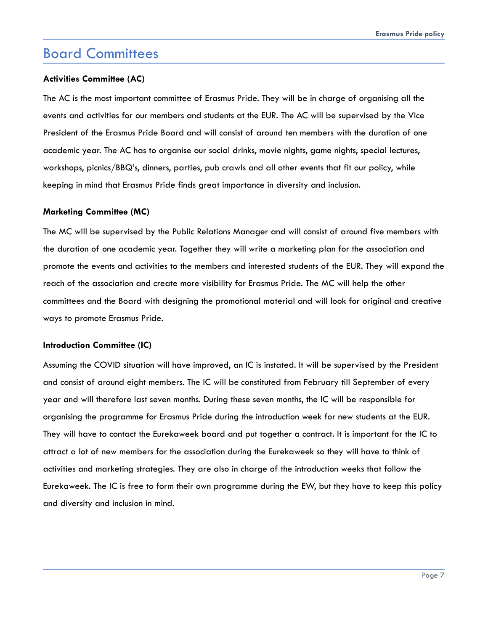### Board Committees

#### <span id="page-7-0"></span>**Activities Committee (AC)**

The AC is the most important committee of Erasmus Pride. They will be in charge of organising all the events and activities for our members and students at the EUR. The AC will be supervised by the Vice President of the Erasmus Pride Board and will consist of around ten members with the duration of one academic year. The AC has to organise our social drinks, movie nights, game nights, special lectures, workshops, picnics/BBQ's, dinners, parties, pub crawls and all other events that fit our policy, while keeping in mind that Erasmus Pride finds great importance in diversity and inclusion.

#### <span id="page-7-1"></span>**Marketing Committee (MC)**

The MC will be supervised by the Public Relations Manager and will consist of around five members with the duration of one academic year. Together they will write a marketing plan for the association and promote the events and activities to the members and interested students of the EUR. They will expand the reach of the association and create more visibility for Erasmus Pride. The MC will help the other committees and the Board with designing the promotional material and will look for original and creative ways to promote Erasmus Pride.

#### **Introduction Committee (IC)**

Assuming the COVID situation will have improved, an IC is instated. It will be supervised by the President and consist of around eight members. The IC will be constituted from February till September of every year and will therefore last seven months. During these seven months, the IC will be responsible for organising the programme for Erasmus Pride during the introduction week for new students at the EUR. They will have to contact the Eurekaweek board and put together a contract. It is important for the IC to attract a lot of new members for the association during the Eurekaweek so they will have to think of activities and marketing strategies. They are also in charge of the introduction weeks that follow the Eurekaweek. The IC is free to form their own programme during the EW, but they have to keep this policy and diversity and inclusion in mind.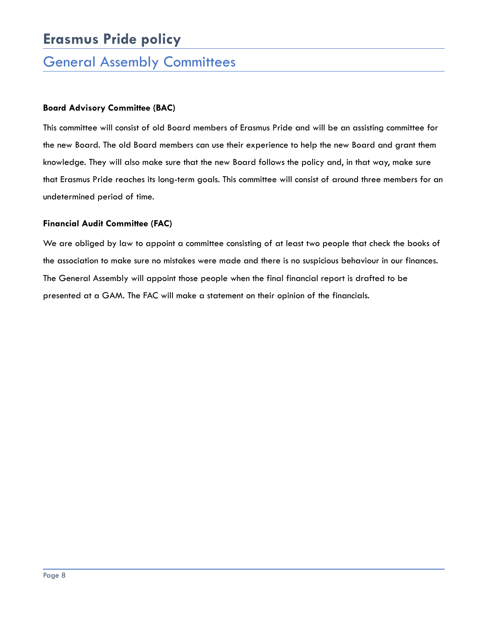### **Erasmus Pride policy**

### <span id="page-8-0"></span>General Assembly Committees

### <span id="page-8-1"></span>**Board Advisory Committee (BAC)**

This committee will consist of old Board members of Erasmus Pride and will be an assisting committee for the new Board. The old Board members can use their experience to help the new Board and grant them knowledge. They will also make sure that the new Board follows the policy and, in that way, make sure that Erasmus Pride reaches its long-term goals. This committee will consist of around three members for an undetermined period of time.

#### <span id="page-8-2"></span>**Financial Audit Committee (FAC)**

We are obliged by law to appoint a committee consisting of at least two people that check the books of the association to make sure no mistakes were made and there is no suspicious behaviour in our finances. The General Assembly will appoint those people when the final financial report is drafted to be presented at a GAM. The FAC will make a statement on their opinion of the financials.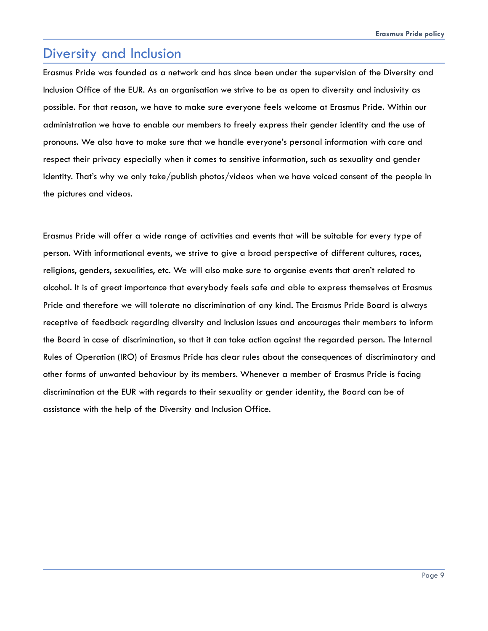### <span id="page-9-0"></span>Diversity and Inclusion

Erasmus Pride was founded as a network and has since been under the supervision of the Diversity and Inclusion Office of the EUR. As an organisation we strive to be as open to diversity and inclusivity as possible. For that reason, we have to make sure everyone feels welcome at Erasmus Pride. Within our administration we have to enable our members to freely express their gender identity and the use of pronouns. We also have to make sure that we handle everyone's personal information with care and respect their privacy especially when it comes to sensitive information, such as sexuality and gender identity. That's why we only take/publish photos/videos when we have voiced consent of the people in the pictures and videos.

<span id="page-9-1"></span>Erasmus Pride will offer a wide range of activities and events that will be suitable for every type of person. With informational events, we strive to give a broad perspective of different cultures, races, religions, genders, sexualities, etc. We will also make sure to organise events that aren't related to alcohol. It is of great importance that everybody feels safe and able to express themselves at Erasmus Pride and therefore we will tolerate no discrimination of any kind. The Erasmus Pride Board is always receptive of feedback regarding diversity and inclusion issues and encourages their members to inform the Board in case of discrimination, so that it can take action against the regarded person. The Internal Rules of Operation (IRO) of Erasmus Pride has clear rules about the consequences of discriminatory and other forms of unwanted behaviour by its members. Whenever a member of Erasmus Pride is facing discrimination at the EUR with regards to their sexuality or gender identity, the Board can be of assistance with the help of the Diversity and Inclusion Office.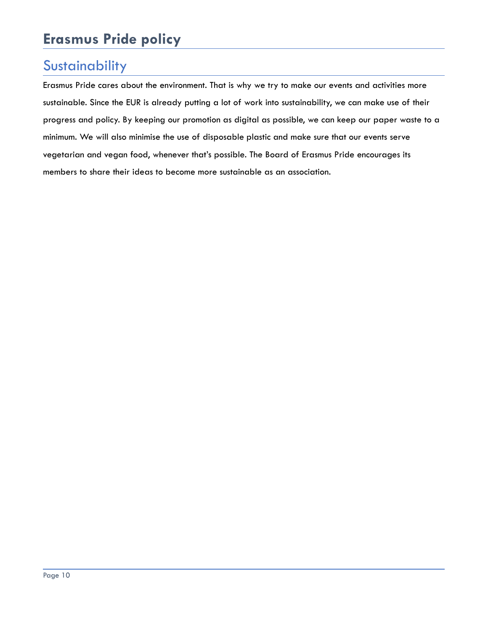### **Sustainability**

Erasmus Pride cares about the environment. That is why we try to make our events and activities more sustainable. Since the EUR is already putting a lot of work into sustainability, we can make use of their progress and policy. By keeping our promotion as digital as possible, we can keep our paper waste to a minimum. We will also minimise the use of disposable plastic and make sure that our events serve vegetarian and vegan food, whenever that's possible. The Board of Erasmus Pride encourages its members to share their ideas to become more sustainable as an association.